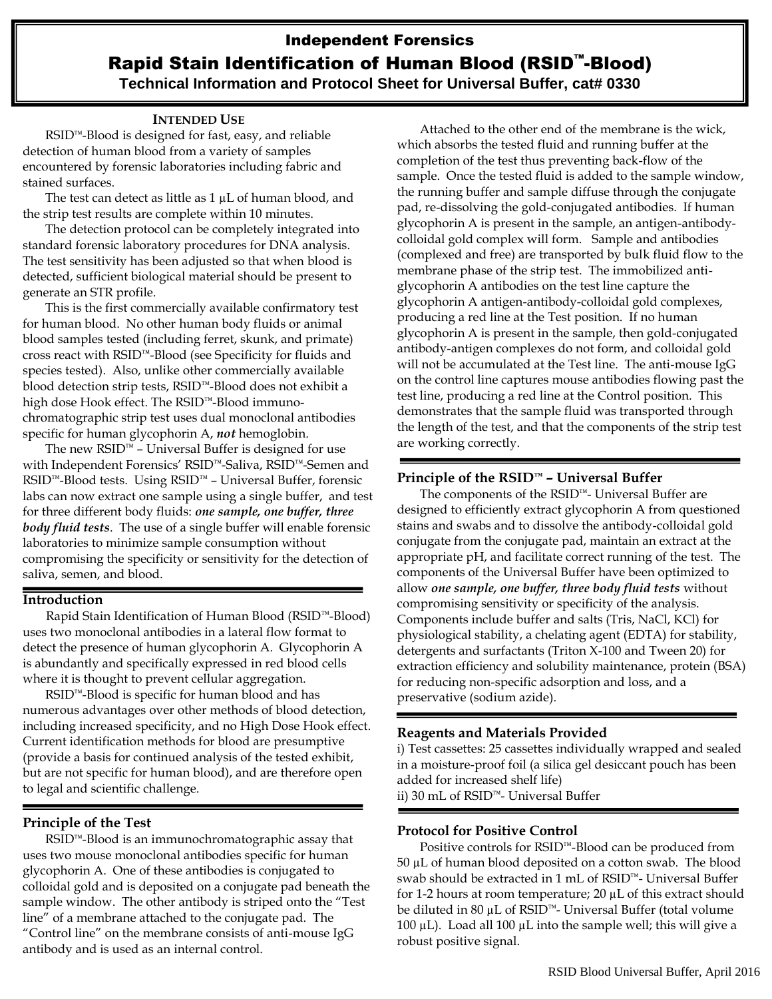# Independent Forensics Rapid Stain Identification of Human Blood (RSID™-Blood) **Technical Information and Protocol Sheet for Universal Buffer, cat# 0330**

#### **INTENDED USE**

RSID™-Blood is designed for fast, easy, and reliable detection of human blood from a variety of samples encountered by forensic laboratories including fabric and stained surfaces.

The test can detect as little as  $1 \mu$ L of human blood, and the strip test results are complete within 10 minutes.

The detection protocol can be completely integrated into standard forensic laboratory procedures for DNA analysis. The test sensitivity has been adjusted so that when blood is detected, sufficient biological material should be present to generate an STR profile.

This is the first commercially available confirmatory test for human blood. No other human body fluids or animal blood samples tested (including ferret, skunk, and primate) cross react with RSID™-Blood (see Specificity for fluids and species tested). Also, unlike other commercially available blood detection strip tests, RSID™-Blood does not exhibit a high dose Hook effect. The RSID™-Blood immunochromatographic strip test uses dual monoclonal antibodies specific for human glycophorin A, *not* hemoglobin.

The new RSID™ – Universal Buffer is designed for use with Independent Forensics' RSID™-Saliva, RSID™-Semen and RSID™-Blood tests. Using RSID™ – Universal Buffer, forensic labs can now extract one sample using a single buffer, and test for three different body fluids: *one sample, one buffer, three body fluid tests*. The use of a single buffer will enable forensic laboratories to minimize sample consumption without compromising the specificity or sensitivity for the detection of saliva, semen, and blood.

### **Introduction**

Rapid Stain Identification of Human Blood (RSID™-Blood) uses two monoclonal antibodies in a lateral flow format to detect the presence of human glycophorin A. Glycophorin A is abundantly and specifically expressed in red blood cells where it is thought to prevent cellular aggregation.

RSID™-Blood is specific for human blood and has numerous advantages over other methods of blood detection, including increased specificity, and no High Dose Hook effect. Current identification methods for blood are presumptive (provide a basis for continued analysis of the tested exhibit, but are not specific for human blood), and are therefore open to legal and scientific challenge.

# **Principle of the Test**

RSID™-Blood is an immunochromatographic assay that uses two mouse monoclonal antibodies specific for human glycophorin A. One of these antibodies is conjugated to colloidal gold and is deposited on a conjugate pad beneath the sample window. The other antibody is striped onto the "Test line" of a membrane attached to the conjugate pad. The "Control line" on the membrane consists of anti-mouse IgG antibody and is used as an internal control.

Attached to the other end of the membrane is the wick, which absorbs the tested fluid and running buffer at the completion of the test thus preventing back-flow of the sample. Once the tested fluid is added to the sample window, the running buffer and sample diffuse through the conjugate pad, re-dissolving the gold-conjugated antibodies. If human glycophorin A is present in the sample, an antigen-antibodycolloidal gold complex will form. Sample and antibodies (complexed and free) are transported by bulk fluid flow to the membrane phase of the strip test. The immobilized antiglycophorin A antibodies on the test line capture the glycophorin A antigen-antibody-colloidal gold complexes, producing a red line at the Test position. If no human glycophorin A is present in the sample, then gold-conjugated antibody-antigen complexes do not form, and colloidal gold will not be accumulated at the Test line. The anti-mouse IgG on the control line captures mouse antibodies flowing past the test line, producing a red line at the Control position. This demonstrates that the sample fluid was transported through the length of the test, and that the components of the strip test are working correctly.

# **Principle of the RSID™ – Universal Buffer**

The components of the RSID™- Universal Buffer are designed to efficiently extract glycophorin A from questioned stains and swabs and to dissolve the antibody-colloidal gold conjugate from the conjugate pad, maintain an extract at the appropriate pH, and facilitate correct running of the test. The components of the Universal Buffer have been optimized to allow *one sample, one buffer, three body fluid tests* without compromising sensitivity or specificity of the analysis. Components include buffer and salts (Tris, NaCl, KCl) for physiological stability, a chelating agent (EDTA) for stability, detergents and surfactants (Triton X-100 and Tween 20) for extraction efficiency and solubility maintenance, protein (BSA) for reducing non-specific adsorption and loss, and a preservative (sodium azide).

# **Reagents and Materials Provided**

i) Test cassettes: 25 cassettes individually wrapped and sealed in a moisture-proof foil (a silica gel desiccant pouch has been added for increased shelf life) ii) 30 mL of RSID™- Universal Buffer

### **Protocol for Positive Control**

Positive controls for RSID™-Blood can be produced from 50 µL of human blood deposited on a cotton swab. The blood swab should be extracted in 1 mL of RSID™- Universal Buffer for 1-2 hours at room temperature; 20 µL of this extract should be diluted in 80 µL of RSID™- Universal Buffer (total volume 100  $\mu$ L). Load all 100  $\mu$ L into the sample well; this will give a robust positive signal.